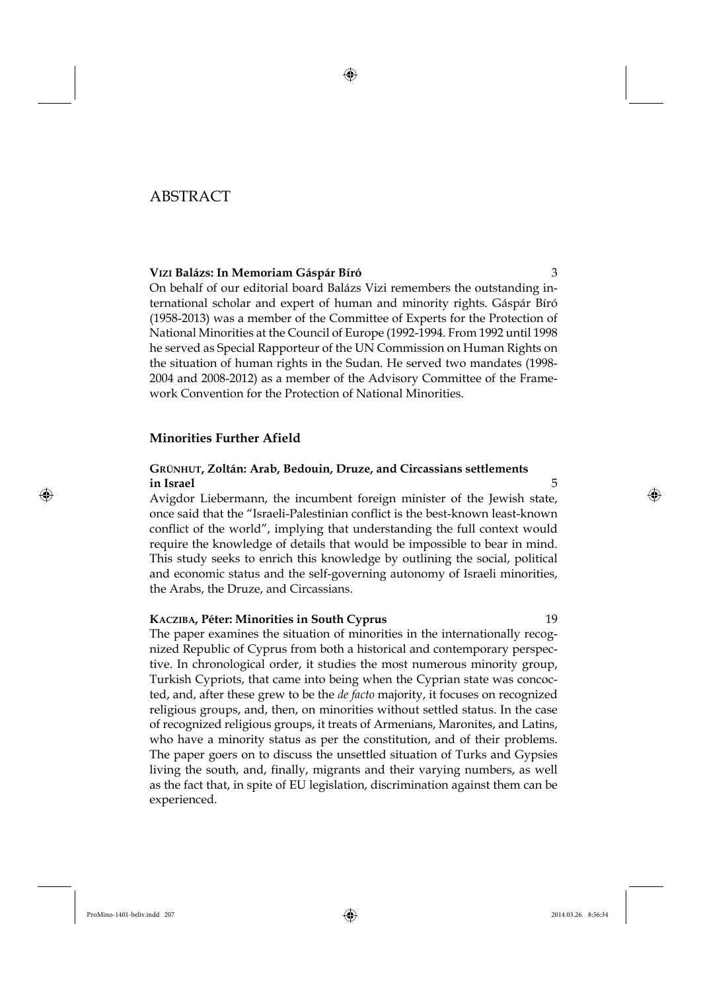# ABSTRACT

### **VIZI Balázs: In Memoriam Gáspár Bíró** 3

On behalf of our editorial board Balázs Vizi remembers the outstanding international scholar and expert of human and minority rights. Gáspár Bíró (1958-2013) was a member of the Committee of Experts for the Protection of National Minorities at the Council of Europe (1992-1994. From 1992 until 1998 he served as Special Rapporteur of the UN Commission on Human Rights on the situation of human rights in the Sudan. He served two mandates (1998- 2004 and 2008-2012) as a member of the Advisory Committee of the Framework Convention for the Protection of National Minorities.

### **Minorities Further Afield**

## **GRÜNHUT, Zoltán: Arab, Bedouin, Druze, and Circassians settlements in Israel** 5

Avigdor Liebermann, the incumbent foreign minister of the Jewish state, once said that the "Israeli-Palestinian conflict is the best-known least-known conflict of the world", implying that understanding the full context would require the knowledge of details that would be impossible to bear in mind. This study seeks to enrich this knowledge by outlining the social, political and economic status and the self-governing autonomy of Israeli minorities, the Arabs, the Druze, and Circassians.

### **KACZIBA, Péter: Minorities in South Cyprus** 19

The paper examines the situation of minorities in the internationally recognized Republic of Cyprus from both a historical and contemporary perspective. In chronological order, it studies the most numerous minority group, Turkish Cypriots, that came into being when the Cyprian state was concocted, and, after these grew to be the *de facto* majority, it focuses on recognized religious groups, and, then, on minorities without settled status. In the case of recognized religious groups, it treats of Armenians, Maronites, and Latins, who have a minority status as per the constitution, and of their problems. The paper goers on to discuss the unsettled situation of Turks and Gypsies living the south, and, finally, migrants and their varying numbers, as well as the fact that, in spite of EU legislation, discrimination against them can be experienced.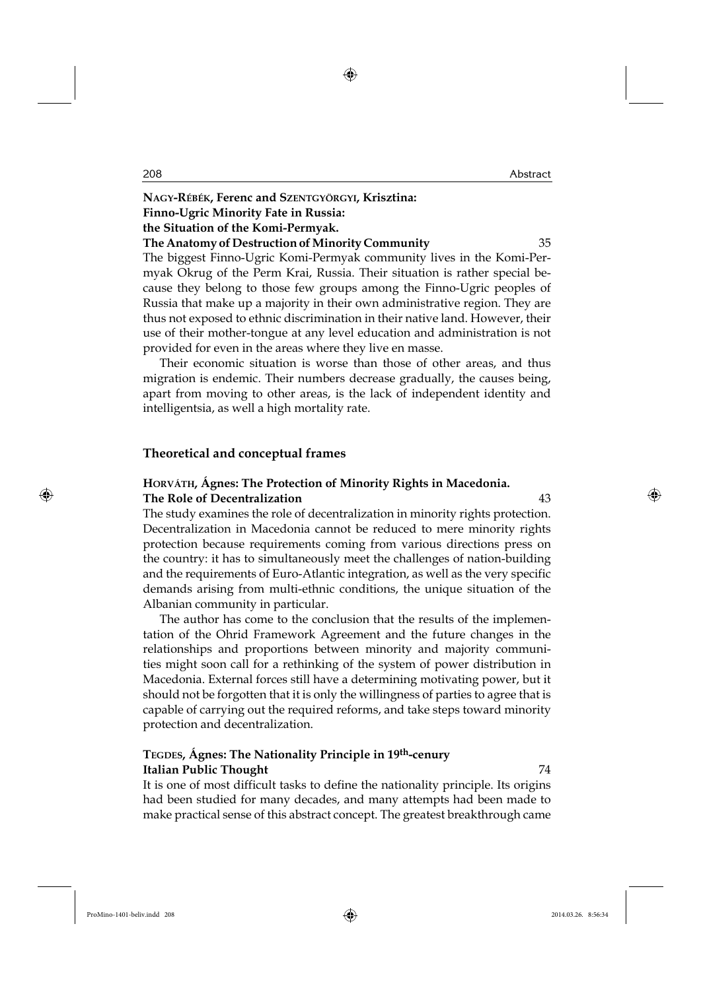**NAGY-RÉBÉK, Ferenc and SZENTGYÖRGYI, Krisztina:** 

**Finno-Ugric Minority Fate in Russia:** 

**the Situation of the Komi-Permyak.** 

#### **The Anatomy of Destruction of Minority Community** 35

The biggest Finno-Ugric Komi-Permyak community lives in the Komi-Permyak Okrug of the Perm Krai, Russia. Their situation is rather special because they belong to those few groups among the Finno-Ugric peoples of Russia that make up a majority in their own administrative region. They are thus not exposed to ethnic discrimination in their native land. However, their use of their mother-tongue at any level education and administration is not provided for even in the areas where they live en masse.

Their economic situation is worse than those of other areas, and thus migration is endemic. Their numbers decrease gradually, the causes being, apart from moving to other areas, is the lack of independent identity and intelligentsia, as well a high mortality rate.

#### **Theoretical and conceptual frames**

## **HORVÁTH, Ágnes: The Protection of Minority Rights in Macedonia. The Role of Decentralization** 43

The study examines the role of decentralization in minority rights protection. Decentralization in Macedonia cannot be reduced to mere minority rights protection because requirements coming from various directions press on the country: it has to simultaneously meet the challenges of nation-building and the requirements of Euro-Atlantic integration, as well as the very specific demands arising from multi-ethnic conditions, the unique situation of the Albanian community in particular.

The author has come to the conclusion that the results of the implementation of the Ohrid Framework Agreement and the future changes in the relationships and proportions between minority and majority communities might soon call for a rethinking of the system of power distribution in Macedonia. External forces still have a determining motivating power, but it should not be forgotten that it is only the willingness of parties to agree that is capable of carrying out the required reforms, and take steps toward minority protection and decentralization.

## **TEGDES, Ágnes: The Nationality Principle in 19th-cenury Italian Public Thought** 74

It is one of most difficult tasks to define the nationality principle. Its origins had been studied for many decades, and many attempts had been made to make practical sense of this abstract concept. The greatest breakthrough came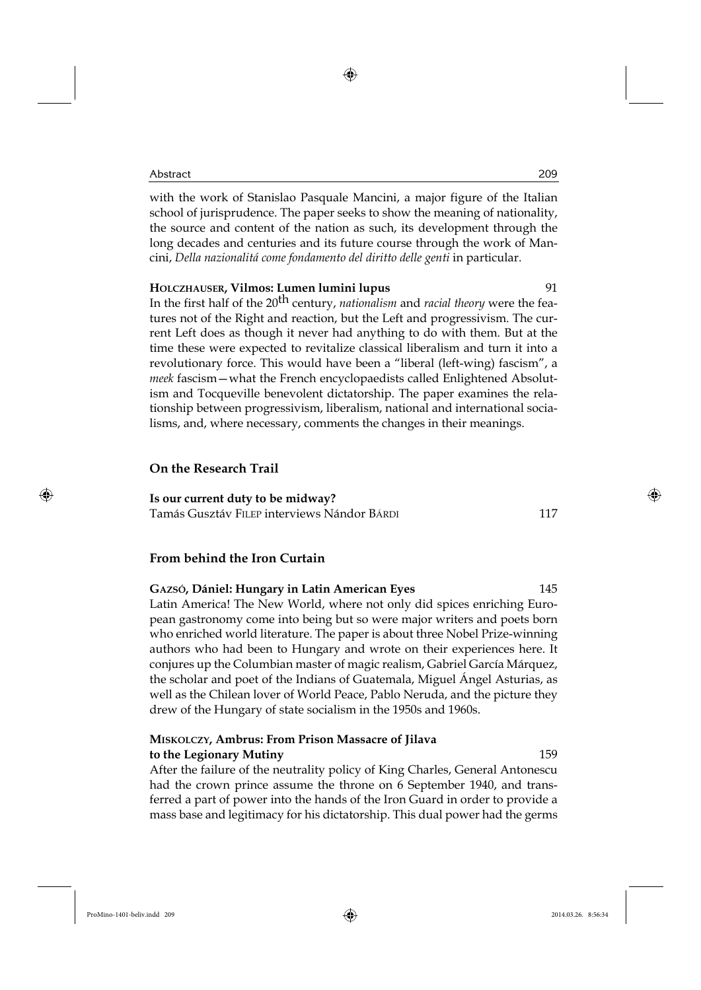with the work of Stanislao Pasquale Mancini, a major figure of the Italian school of jurisprudence. The paper seeks to show the meaning of nationality, the source and content of the nation as such, its development through the long decades and centuries and its future course through the work of Mancini, *Della nazionalitá come fondamento del diritto delle genti* in particular.

### **HOLCZHAUSER, Vilmos: Lumen lumini lupus** 91

In the first half of the 20<sup>th</sup> century, *nationalism* and *racial theory* were the features not of the Right and reaction, but the Left and progressivism. The current Left does as though it never had anything to do with them. But at the time these were expected to revitalize classical liberalism and turn it into a revolutionary force. This would have been a "liberal (left-wing) fascism", a *meek* fascism—what the French encyclopaedists called Enlightened Absolutism and Tocqueville benevolent dictatorship. The paper examines the relationship between progressivism, liberalism, national and international socialisms, and, where necessary, comments the changes in their meanings.

## **On the Research Trail**

**Is our current duty to be midway?**

Tamás Gusztáv FILEP interviews Nándor BÁRDI 117

## **From behind the Iron Curtain**

# **GAZSÓ, Dániel: Hungary in Latin American Eyes** 145

Latin America! The New World, where not only did spices enriching European gastronomy come into being but so were major writers and poets born who enriched world literature. The paper is about three Nobel Prize-winning authors who had been to Hungary and wrote on their experiences here. It conjures up the Columbian master of magic realism, Gabriel García Márquez, the scholar and poet of the Indians of Guatemala, Miguel Ángel Asturias, as well as the Chilean lover of World Peace, Pablo Neruda, and the picture they drew of the Hungary of state socialism in the 1950s and 1960s.

## **MISKOLCZY, Ambrus: From Prison Massacre of Jilava to the Legionary Mutiny** 159

After the failure of the neutrality policy of King Charles, General Antonescu had the crown prince assume the throne on 6 September 1940, and transferred a part of power into the hands of the Iron Guard in order to provide a mass base and legitimacy for his dictatorship. This dual power had the germs